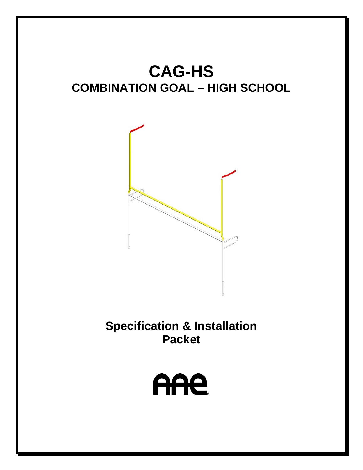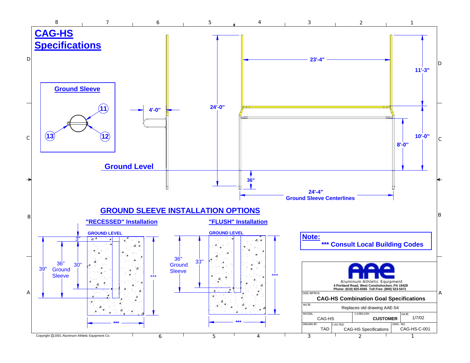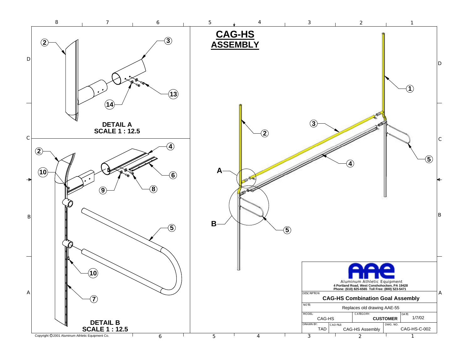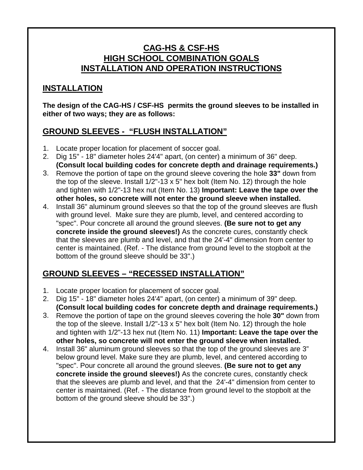#### **CAG-HS & CSF-HS HIGH SCHOOL COMBINATION GOALS INSTALLATION AND OPERATION INSTRUCTIONS**

### **INSTALLATION**

**The design of the CAG-HS / CSF-HS permits the ground sleeves to be installed in either of two ways; they are as follows:**

### **GROUND SLEEVES - "FLUSH INSTALLATION"**

- 1. Locate proper location for placement of soccer goal.
- 2. Dig 15" 18" diameter holes 24'4" apart, (on center) a minimum of 36" deep. **(Consult local building codes for concrete depth and drainage requirements.)**
- 3. Remove the portion of tape on the ground sleeve covering the hole **33"** down from the top of the sleeve. Install  $1/2$ "-13 x 5" hex bolt (Item No. 12) through the hole and tighten with 1/2"-13 hex nut (Item No. 13) **Important: Leave the tape over the other holes, so concrete will not enter the ground sleeve when installed.**
- 4. Install 36" aluminum ground sleeves so that the top of the ground sleeves are flush with ground level. Make sure they are plumb, level, and centered according to "spec". Pour concrete all around the ground sleeves. **(Be sure not to get any concrete inside the ground sleeves!)** As the concrete cures, constantly check that the sleeves are plumb and level, and that the 24'-4" dimension from center to center is maintained. (Ref. - The distance from ground level to the stopbolt at the bottom of the ground sleeve should be 33".)

# **GROUND SLEEVES – "RECESSED INSTALLATION"**

- 1. Locate proper location for placement of soccer goal.
- 2. Dig 15" 18" diameter holes 24'4" apart, (on center) a minimum of 39" deep. **(Consult local building codes for concrete depth and drainage requirements.)**
- 3. Remove the portion of tape on the ground sleeves covering the hole **30"** down from the top of the sleeve. Install  $1/2$ "-13 x 5" hex bolt (Item No. 12) through the hole and tighten with 1/2"-13 hex nut (Item No. 11) **Important: Leave the tape over the other holes, so concrete will not enter the ground sleeve when installed.**
- 4. Install 36" aluminum ground sleeves so that the top of the ground sleeves are 3" below ground level. Make sure they are plumb, level, and centered according to "spec". Pour concrete all around the ground sleeves. **(Be sure not to get any concrete inside the ground sleeves!)** As the concrete cures, constantly check that the sleeves are plumb and level, and that the 24'-4" dimension from center to center is maintained. (Ref. - The distance from ground level to the stopbolt at the bottom of the ground sleeve should be 33".)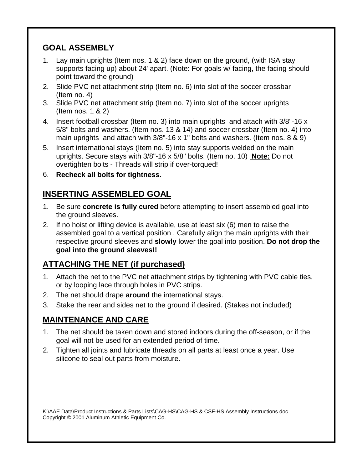## **GOAL ASSEMBLY**

- 1. Lay main uprights (Item nos. 1 & 2) face down on the ground, (with ISA stay supports facing up) about 24' apart. (Note: For goals w/ facing, the facing should point toward the ground)
- 2. Slide PVC net attachment strip (Item no. 6) into slot of the soccer crossbar (Item no. 4)
- 3. Slide PVC net attachment strip (Item no. 7) into slot of the soccer uprights (Item nos. 1 & 2)
- 4. Insert football crossbar (Item no. 3) into main uprights and attach with 3/8"-16 x 5/8" bolts and washers. (Item nos. 13 & 14) and soccer crossbar (Item no. 4) into main uprights and attach with 3/8"-16 x 1" bolts and washers. (Item nos. 8 & 9)
- 5. Insert international stays (Item no. 5) into stay supports welded on the main uprights. Secure stays with 3/8"-16 x 5/8" bolts. (Item no. 10) **Note:** Do not overtighten bolts - Threads will strip if over-torqued!
- 6. **Recheck all bolts for tightness.**

# **INSERTING ASSEMBLED GOAL**

- 1. Be sure **concrete is fully cured** before attempting to insert assembled goal into the ground sleeves.
- 2. If no hoist or lifting device is available, use at least six (6) men to raise the assembled goal to a vertical position . Carefully align the main uprights with their respective ground sleeves and **slowly** lower the goal into position. **Do not drop the goal into the ground sleeves!!**

# **ATTACHING THE NET (if purchased)**

- 1. Attach the net to the PVC net attachment strips by tightening with PVC cable ties, or by looping lace through holes in PVC strips.
- 2. The net should drape **around** the international stays.
- 3. Stake the rear and sides net to the ground if desired. (Stakes not included)

# **MAINTENANCE AND CARE**

- 1. The net should be taken down and stored indoors during the off-season, or if the goal will not be used for an extended period of time.
- 2. Tighten all joints and lubricate threads on all parts at least once a year. Use silicone to seal out parts from moisture.

K:\AAE Data\Product Instructions & Parts Lists\CAG-HS\CAG-HS & CSF-HS Assembly Instructions.doc Copyright © 2001 Aluminum Athletic Equipment Co.